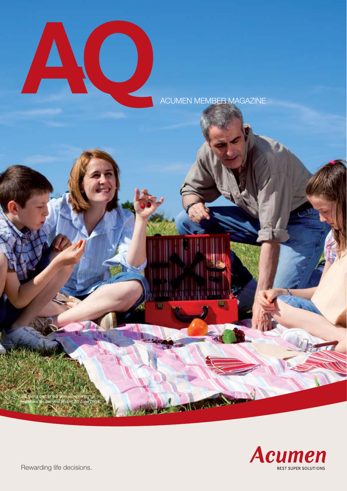

ACUMEN MEMBER MAGAZINE



Rewarding life decisions.

AQ forms part of our annual reporting to members for the year ending 30 June 2009.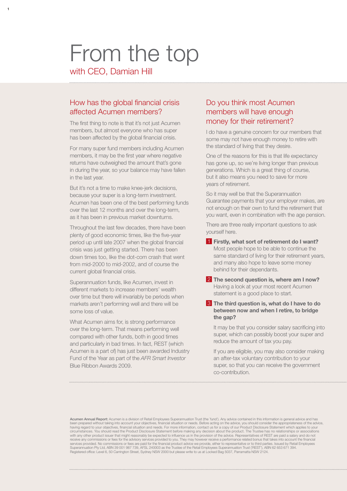# From the top

with CEO, Damian Hill

**1**

## How has the global financial crisis affected Acumen members?

The first thing to note is that it's not just Acumen members, but almost everyone who has super has been affected by the global financial crisis.

For many super fund members including Acumen members, it may be the first year where negative returns have outweighed the amount that's gone in during the year, so your balance may have fallen in the last year.

But it's not a time to make knee-jerk decisions, because your super is a long-term investment. Acumen has been one of the best performing funds over the last 12 months and over the long-term, as it has been in previous market downturns.

Throughout the last few decades, there have been plenty of good economic times, like the five-year period up until late 2007 when the global financial crisis was just getting started. There has been down times too, like the dot-com crash that went from mid-2000 to mid-2002, and of course the current global financial crisis.

Superannuation funds, like Acumen, invest in different markets to increase members' wealth over time but there will invariably be periods when markets aren't performing well and there will be some loss of value.

What Acumen aims for, is strong performance over the long-term. That means performing well compared with other funds, both in good times and particularly in bad times. In fact, REST (which Acumen is a part of) has just been awarded Industry Fund of the Year as part of the *AFR Smart Investor* Blue Ribbon Awards 2009.

## Do you think most Acumen members will have enough money for their retirement?

I do have a genuine concern for our members that some may not have enough money to retire with the standard of living that they desire.

One of the reasons for this is that life expectancy has gone up, so we're living longer than previous generations. Which is a great thing of course, but it also means you need to save for more years of retirement.

So it may well be that the Superannuation Guarantee payments that your employer makes, are not enough on their own to fund the retirement that you want, even in combination with the age pension.

There are three really important questions to ask yourself here.

- 1 **Firstly, what sort of retirement do I want?** Most people hope to be able to continue the same standard of living for their retirement years, and many also hope to leave some money behind for their dependants.
- 2 **The second question is, where am I now?** Having a look at your most recent Acumen statement is a good place to start.
- 3 **The third question is, what do I have to do between now and when I retire, to bridge the gap?**

It may be that you consider salary sacrificing into super, which can possibly boost your super and reduce the amount of tax you pay.

 If you are eligible, you may also consider making an after-tax voluntary contribution to your super, so that you can receive the government co-contribution.

Acumen Annual Report: Acumen is a division of Retail Employees Superannuation Trust (the `fund'). Any advice contained in this information is general advice and has been prepared without taking into account your objectives, financial situation or needs. Before acting on the advice, you should consider the appropriateness of the advice,<br>having regard to your objectives, financial situa circumstances. You should read the Product Disclosure Statement before making any decision about the product. The Trustee has no relationships or associations<br>with any other product issuer that might reasonably be expected receive any commissions or fees for the advisory services provided to you. They may however receive a performance related bonus that takes into account the financial<br>services provided. No commissions or fees are paid for t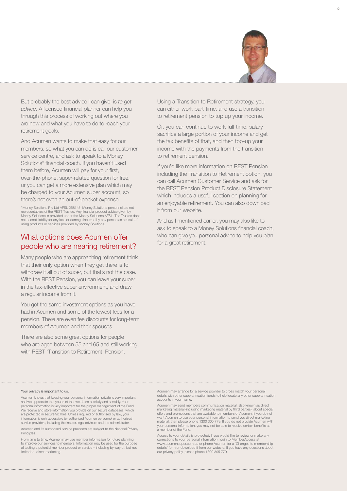

But probably the best advice I can give, is *to get advice*. A licensed financial planner can help you through this process of working out where you are now and what you have to do to reach your retirement goals.

And Acumen wants to make that easy for our members, so what you can do is call our customer service centre, and ask to speak to a Money Solutions\* financial coach. If you haven't used them before, Acumen will pay for your first, over-the-phone, super-related question for free, or you can get a more extensive plan which may be charged to your Acumen super account, so there's not even an out-of-pocket expense.

\*Money Solutions Pty Ltd AFSL 258145. Money Solutions personnel are not representatives of the REST Trustee. Any financial product advice given by Money Solutions is provided under the Money Solutions AFSL. The Trustee does not accept liability for any loss or damage incurred by any person as a result of using products or services provided by Money Solution

#### What options does Acumen offer people who are nearing retirement?

Many people who are approaching retirement think that their only option when they get there is to withdraw it all out of super, but that's not the case. With the REST Pension, you can leave your super in the tax-effective super environment, and draw a regular income from it.

You get the same investment options as you have had in Acumen and some of the lowest fees for a pension. There are even fee discounts for long-term members of Acumen and their spouses.

There are also some great options for people who are aged between 55 and 65 and still working, with REST 'Transition to Retirement' Pension.

Using a Transition to Retirement strategy, you can either work part-time, and use a transition to retirement pension to top up your income.

Or, you can continue to work full-time, salary sacrifice a large portion of your income and get the tax benefits of that, and then top-up your income with the payments from the transition to retirement pension.

If you'd like more information on REST Pension including the Transition to Retirement option, you can call Acumen Customer Service and ask for the REST Pension Product Disclosure Statement which includes a useful section on planning for an enjoyable retirement. You can also download it from our website.

And as I mentioned earlier, you may also like to ask to speak to a Money Solutions financial coach, who can give you personal advice to help you plan for a great retirement.

#### Your privacy is important to us.

Acumen knows that keeping your personal information private is very important and we appreciate that you trust that we do so carefully and sensibly. Your personal information is very important for the proper management of the Fund. We receive and store information you provide on our secure databases, which are protected in secure facilities. Unless required or authorised by law, your information is only accessible by authorised Acumen personnel or authorised service providers, including the insurer, legal advisers and the administrator.

Acumen and its authorised service providers are subject to the National Privacy Principles

From time to time, Acumen may use member information for future planning to improve our services to members. Information may be used for the purpose of testing a potential member product or service – including by way of, but not limited to, direct marketing.

Acumen may arrange for a service provider to cross match your personal details with other superannuation funds to help locate any other superannuation accounts in your name.

Acumen may send members communication material, also known as direct marketing material (including marketing material by third parties), about special offers and promotions that are available to members of Acumen. If you do not<br>want Acumen to use your personal information to send you direct marketing<br>material, then please phone 1300 305 779. If you do not provide Acumen your personal information, you may not be able to receive certain benefits as a member of the Fund.

Access to your details is protected. If you would like to review or make any corrections to your personal information, login to MemberAccess at<br>www.acumensuper.com.au or phone Acumen for a 'Changes to membership<br>details' form or download it from our website. If you have any questions about<br>our priv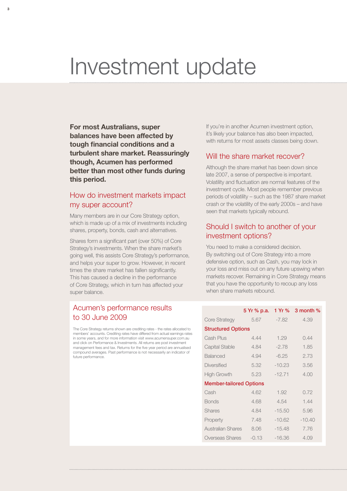## Investment update

**For most Australians, super balances have been affected by tough financial conditions and a turbulent share market. Reassuringly though, Acumen has performed better than most other funds during this period.**

**3**

## How do investment markets impact my super account?

Many members are in our Core Strategy option, which is made up of a mix of investments including shares, property, bonds, cash and alternatives.

Shares form a significant part (over 50%) of Core Strategy's investments. When the share market's going well, this assists Core Strategy's performance, and helps your super to grow. However, in recent times the share market has fallen significantly. This has caused a decline in the performance of Core Strategy, which in turn has affected your super balance.

## Acumen's performance results to 30 June 2009

The Core Strategy returns shown are crediting rates - the rates allocated to members' accounts. Crediting rates have differed from actual earnings rates in some years, and for more information visit www.acumensuper.com.au and click on Performance & Investments. All returns are post investment management fees and tax. Returns for the five year period are annualised compound averages. Past performance is not necessarily an indicator of future performance.

If you're in another Acumen investment option, it's likely your balance has also been impacted, with returns for most assets classes being down.

#### Will the share market recover?

Although the share market has been down since late 2007, a sense of perspective is important. Volatility and fluctuation are normal features of the investment cycle. Most people remember previous periods of volatility – such as the 1987 share market crash or the volatility of the early 2000s – and have seen that markets typically rebound.

## Should I switch to another of your investment options?

You need to make a considered decision. By switching out of Core Strategy into a more defensive option, such as Cash, you may lock in your loss and miss out on any future upswing when markets recover. Remaining in Core Strategy means that you have the opportunity to recoup any loss when share markets rebound.

| 5.67    | -7.82                                                                                                      | 4.39                         |
|---------|------------------------------------------------------------------------------------------------------------|------------------------------|
|         |                                                                                                            |                              |
| 4.44    | 1.29                                                                                                       | 0.44                         |
| 4.84    | $-2.78$                                                                                                    | 1.85                         |
| 4.94    | $-6.25$                                                                                                    | 2.73                         |
| 5.32    | $-10.23$                                                                                                   | 3.56                         |
| 5.23    | $-12.71$                                                                                                   | 4.00                         |
|         |                                                                                                            |                              |
| 4.62    | 1.92                                                                                                       | 0.72                         |
| 4.68    | 4.54                                                                                                       | 1.44                         |
| 4.84    | $-15.50$                                                                                                   | 5.96                         |
| 7.48    | $-10.62$                                                                                                   | $-10.40$                     |
| 8.06    | $-15.48$                                                                                                   | 7.76                         |
| $-0.13$ | $-16.36$                                                                                                   | 4.09                         |
|         | <b>Structured Options</b><br><b>Member-tailored Options</b><br><b>Australian Shares</b><br>Overseas Shares | 5 Yr % p.a. 1 Yr % 3 month % |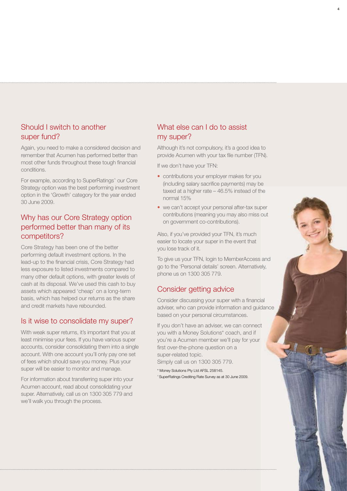## Should I switch to another super fund?

Again, you need to make a considered decision and remember that Acumen has performed better than most other funds throughout these tough financial conditions.

For example, according to SuperRatings^ our Core Strategy option was the best performing investment option in the 'Growth' category for the year ended 30 June 2009.

## Why has our Core Strategy option performed better than many of its competitors?

Core Strategy has been one of the better performing default investment options. In the lead-up to the financial crisis, Core Strategy had less exposure to listed investments compared to many other default options, with greater levels of cash at its disposal. We've used this cash to buy assets which appeared 'cheap' on a long-term basis, which has helped our returns as the share and credit markets have rebounded.

## Is it wise to consolidate my super?

With weak super returns, it's important that you at least minimise your fees. If you have various super accounts, consider consolidating them into a single account. With one account you'll only pay one set of fees which should save you money. Plus your super will be easier to monitor and manage.

For information about transferring super into your Acumen account, read about consolidating your super. Alternatively, call us on 1300 305 779 and we'll walk you through the process.

## What else can I do to assist my super?

Although it's not compulsory, it's a good idea to provide Acumen with your tax file number (TFN). **4**

If we don't have your TFN:

- contributions your employer makes for you (including salary sacrifice payments) may be taxed at a higher rate – 46.5% instead of the normal 15%
- we can't accept your personal after-tax super contributions (meaning you may also miss out on government co-contributions).

Also, if you've provided your TFN, it's much easier to locate your super in the event that you lose track of it.

To give us your TFN, login to MemberAccess and go to the 'Personal details' screen. Alternatively, phone us on 1300 305 779.

## Consider getting advice

Consider discussing your super with a financial adviser, who can provide information and guidance based on your personal circumstances.

If you don't have an adviser, we can connect you with a Money Solutions\* coach, and if you're a Acumen member we'll pay for your first over-the-phone question on a super-related topic.

Simply call us on 1300 305 779.

\* Money Solutions Pty Ltd AFSL 258145. ^ SuperRatings Crediting Rate Survey as at 30 June 2009.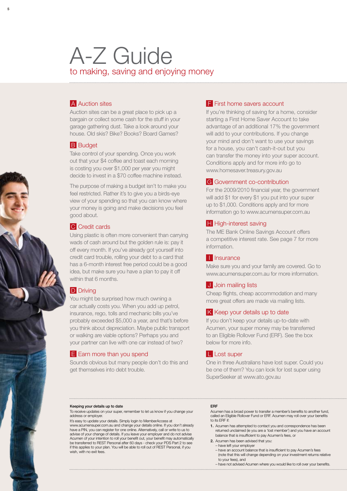## A-Z Guide to making, saving and enjoying money

### **A** Auction sites

**5**

Auction sites can be a great place to pick up a bargain or collect some cash for the stuff in your garage gathering dust. Take a look around your house. Old skis? Bike? Books? Board Games?

#### **B** Budget

Take control of your spending. Once you work out that your \$4 coffee and toast each morning is costing you over \$1,000 per year you might decide to invest in a \$70 coffee machine instead.

The purpose of making a budget isn't to make you feel restricted. Rather it's to give you a birds-eye view of your spending so that you can know where your money is going and make decisions you feel good about.

#### **C** Credit cards

Using plastic is often more convenient than carrying wads of cash around but the golden rule is: pay it off every month. If you've already got yourself into credit card trouble, rolling your debt to a card that has a 6-month interest free period could be a good idea, but make sure you have a plan to pay it off within that 6 months.

## **D** Driving

You might be surprised how much owning a car actually costs you. When you add up petrol, insurance, rego, tolls and mechanic bills you've probably exceeded \$5,000 a year, and that's before you think about depreciation. Maybe public transport or walking are viable options? Perhaps you and your partner can live with one car instead of two?

### E Earn more than you spend

Sounds obvious but many people don't do this and get themselves into debt trouble.

#### F First home savers account

If you're thinking of saving for a home, consider starting a First Home Saver Account to take advantage of an additional 17% the government will add to your contributions. If you change your mind and don't want to use your savings for a house, you can't cash-it-out but you can transfer the money into your super account. Conditions apply and for more info go to www.homesaver.treasury.gov.au

#### G Government co-contribution

For the 2009/2010 financial year, the government will add \$1 for every \$1 you put into your super up to \$1,000. Conditions apply and for more information go to www.acumensuper.com.au

#### **H** High-interest saving

The ME Bank Online Savings Account offers a competitive interest rate. See page 7 for more information.

#### **I** Insurance

Make sure you and your family are covered. Go to www.acumensuper.com.au for more information.

### J Join mailing lists

Cheap flights, cheap accommodation and many more great offers are made via mailing lists.

#### K Keep your details up to date

If you don't keep your details up-to-date with Acumen, your super money may be transferred to an Eligible Rollover Fund (ERF). See the box below for more info.

### L Lost super

One in three Australians have lost super. Could you be one of them? You can look for lost super using SuperSeeker at www.ato.gov.au

#### Keeping your details up to date

To receive updates on your super, remember to let us know if you change your address or employer.

It's easy to update your details. Simply login to MemberAccess at www.acumensuper.com.au and change your details online. If you don't already have a PIN, you can register for one online. Alternatively, call or write to us to advise of your change of details. If you leave your employer and do not advise Acumen of your intention to roll your benefit out, your benefit may automatically be transferred to REST Personal after 60 days - check your PDS Part 2 to see if this applies to your plan. You will be able to roll out of REST Personal, if you wish, with no exit fees.

#### ERF

Acumen has a broad power to transfer a member's benefits to another fund, called an Eligible Rollover Fund or ERF. Acumen may roll over your benefits to its ERF if:

- 1. Acumen has attempted to contact you and correspondence has been returned unclaimed (ie you are a 'lost member') and you have an account balance that is insufficient to pay Acumen's fees, or
- 2. Acumen has been advised that you:
- have left your employer
	- have an account balance that is insufficient to pay Acumen's fees (note that this will change depending on your investment returns relative to your fees), and
	- have not advised Acumen where you would like to roll over your benefits.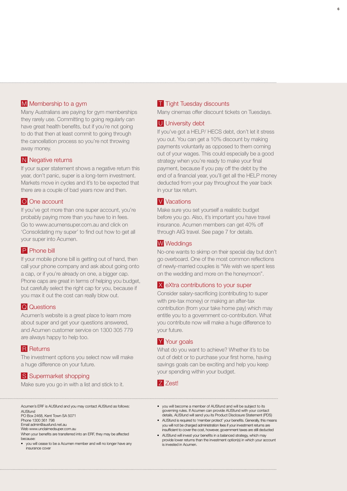#### M Membership to a gym

Many Australians are paying for gym memberships they rarely use. Committing to going regularly can have great health benefits, but if you're not going to do that then at least commit to going through the cancellation process so you're not throwing away money.

#### **N** Negative returns

If your super statement shows a negative return this year, don't panic, super is a long-term investment. Markets move in cycles and it's to be expected that there are a couple of bad years now and then.

#### O One account

If you've got more than one super account, you're probably paying more than you have to in fees. Go to www.acumensuper.com.au and click on 'Consolidating my super' to find out how to get all your super into Acumen.

#### **P** Phone bill

If your mobile phone bill is getting out of hand, then call your phone company and ask about going onto a cap, or if you're already on one, a bigger cap. Phone caps are great in terms of helping you budget, but carefully select the right cap for you, because if you max it out the cost can really blow out.

#### **Q** Questions

Acumen's website is a great place to learn more about super and get your questions answered, and Acumen customer service on 1300 305 779 are always happy to help too.

#### **R** Returns

The investment options you select now will make a huge difference on your future.

## S Supermarket shopping

Make sure you go in with a list and stick to it.

#### **T** Tight Tuesday discounts

Many cinemas offer discount tickets on Tuesdays.

**6**

#### U University debt

If you've got a HELP/ HECS debt, don't let it stress you out. You can get a 10% discount by making payments voluntarily as opposed to them coming out of your wages. This could especially be a good strategy when you're ready to make your final payment, because if you pay off the debt by the end of a financial year, you'll get all the HELP money deducted from your pay throughout the year back in your tax return.

#### V Vacations

Make sure you set yourself a realistic budget before you go. Also, it's important you have travel insurance. Acumen members can get 40% off through AIG travel. See page 7 for details.

#### W Weddings

No-one wants to skimp on their special day but don't go overboard. One of the most common reflections of newly-married couples is "We wish we spent less on the wedding and more on the honeymoon".

#### X eXtra contributions to your super

Consider salary-sacrificing (contributing to super with pre-tax money) or making an after-tax contribution (from your take home pay) which may entitle you to a government co-contribution. What you contribute now will make a huge difference to your future.

#### Y Your goals

What do you want to achieve? Whether it's to be out of debt or to purchase your first home, having savings goals can be exciting and help you keep your spending within your budget.

#### **Z** Zest!

Acumen's ERF is AUSfund and you may contact AUSfund as follows: **AUSfund** PO Box 2468, Kent Town SA 5071

Phone 1300 361 798 Email admin@ausfund.net.au

Web www.unclaimedsuper.com.au

When your benefits are transferred into an ERF, they may be affected **because** 

• you will cease to be a Acumen member and will no longer have any insurance cover

- vou will become a member of AUSfund and will be subject to its governing rules. If Acumen can provide AUSfund with your contact details, AUSfund will send you its Product Disclosure Statement (PDS)
- AUSfund is required to 'member protect' your benefits. Generally, this means you will not be charged administration fees if your investment returns are insufficient to cover the cost, however, government taxes are still deducted
- AUSfund will invest your benefits in a balanced strategy, which may provide lower returns than the investment option(s) in which your account is invested in Acumen.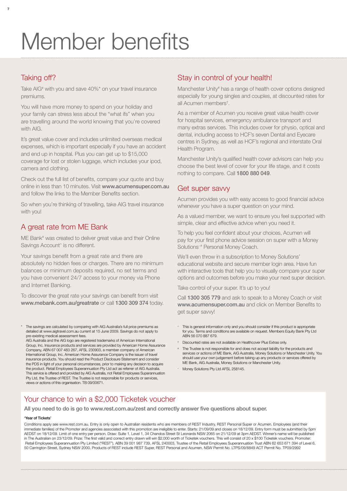## Member benefits

## Taking off?

**7**

Take AIG<sup>#</sup> with you and save 40%<sup>\*</sup> on your travel insurance premiums.

You will have more money to spend on your holiday and your family can stress less about the "what ifs" when you are travelling around the world knowing that you're covered with AIG.

It's great value cover and includes unlimited overseas medical expenses, which is important especially if you have an accident and end up in hospital. Plus you can get up to \$15,000 coverage for lost or stolen luggage, which includes your ipod, camera and clothing.

Check out the full list of benefits, compare your quote and buy online in less than 10 minutes. Visit www.acumensuper.com.au and follow the links to the Member Benefits section.

So when you're thinking of travelling, take AIG travel insurance with you!

## A great rate from ME Bank

ME Bank<sup>#</sup> was created to deliver great value and their Online Savings Account^ is no different.

Your savings benefit from a great rate and there are absolutely no hidden fees or charges. There are no minimum balances or minimum deposits required, no set terms and you have convenient 24/7 access to your money via Phone and Internet Banking.

To discover the great rate your savings can benefit from visit www.mebank.com.au/greatrate or call 1300 309 374 today.

The savings are calculated by comparing with AIG Australia's full price premiums as detailed at www.aigtravel.com.au current at 15 June 2009. Savings do not apply to pre-existing medical assessment fees.

AIG Australia and the AIG logo are registered trademarks of American International Group, Inc. Insurance products and services are provided by American Home Assurance Company, ABN 67 007 483 267, AFSL 230903, a member company of American International Group, Inc. American Home Assurance Company is the issuer of travel insurance products. You should read the Product Disclosure Statement and consider the PDS in light of your personal circumstances, prior to making any decision to acquire the product. Retail Employees Superannuation Pty Ltd act as referrer of AIG Australia. This service is offered and provided by AIG Australia, not Retail Employees Superannuation Pty Ltd, the Trustee of REST. The Trustee is not responsible for products or services, views or actions of this organisation. TB 09/00671.

## Stay in control of your health!

Manchester Unity<sup>#</sup> has a range of health cover options designed especially for young singles and couples, at discounted rates for all Acumen members† .

As a member of Acumen you receive great value health cover for hospital services, emergency ambulance transport and many extras services. This includes cover for physio, optical and dental, including access to HCF's seven Dental and Eyecare centres in Sydney, as well as HCF's regional and interstate Oral Health Program.

Manchester Unity's qualified health cover advisors can help you choose the best level of cover for your life stage, and it costs nothing to compare. Call 1800 880 049.

## Get super savvy

Acumen provides you with easy access to good financial advice whenever you have a super question on your mind.

As a valued member, we want to ensure you feel supported with simple, clear and effective advice when you need it.

To help you feel confident about your choices, Acumen will pay for your first phone advice session on super with a Money Solutions~# Personal Money Coach.

We'll even throw in a subscription to Money Solutions' educational website and secure member login area. Have fun with interactive tools that help you to visually compare your super options and outcomes before you make your next super decision.

Take control of your super. It's up to you!

Call 1300 305 779 and ask to speak to a Money Coach or visit www.acumensuper.com.au and click on Member Benefits to get super savvy!

- This is general information only and you should consider if this product is appropriate for you. Terms and conditions are available on request. Members Equity Bank Pty Ltd ABN 56 070 887 679.
- † Discounted rates are not available on Healthcover Plus Extras only.
- The Trustee is not responsible for and does not accept liability for the products and services or actions of ME Bank, AIG Australia, Money Solutions or Manchester Unity. You should use your own judgement before taking up any products or services offered by ME Bank, AIG Australia, Money Solutions or Manchester Unity.
- Money Solutions Pty Ltd AFSL 258145.

## Your chance to win a \$2,000 Ticketek voucher

All you need to do is go to www.rest.com.au/zest and correctly answer five questions about super.

#### 'Year of Tickets'

Conditions apply see www.rest.com.au. Entry is only open to Australian residents who are members of REST Industry, REST Personal Super or Acumen. Employees (and their immediate families) of the Promoter and agencies associated with this promotion are ineligible to enter. Starts: 21/09/09 and closes on 18/12/09. Entry form must be submitted by 5pm AEDST on 18/12/09. Limit of one entry per person. Draw: Suite 1, Level 1, 34 Chandos Street St Leonards NSW 2065 on 21/12/09 at 3pm AEDST. Winner's name will be published in The Australian on 23/12/09. Prize: The first valid and correct entry drawn will win \$2,000 worth of Ticketek vouchers. This will consist of 20 x \$100 Ticketek vouchers. Promoter: Retail Employees Superannuation Pty Limited ("REST"), ABN 39 001 987 739, AFSL 240003, Trustee of the Retail Employees Superannuation Trust ABN 62 653 671 394 of Level 6, 50 Carrington Street, Sydney NSW 2000. Products of REST include REST Super, REST Personal and Acumen. NSW Permit No. LTPS/09/8849 ACT Permit No. TP09/2992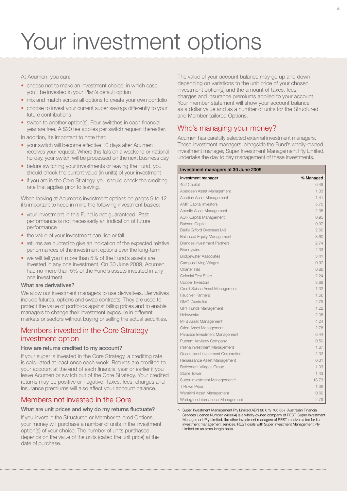## Your investment options

At Acumen, you can:

- choose not to make an investment choice, in which case you'll be invested in your Plan's default option
- mix and match across all options to create your own portfolio
- choose to invest your current super savings differently to your future contributions
- switch to another option(s). Four switches in each financial year are free. A \$20 fee applies per switch request thereafter.

In addition, it's important to note that:

- your switch will become effective 10 days after Acumen receives your request. Where this falls on a weekend or national holiday, your switch will be processed on the next business day
- before switching your investments or leaving the Fund, you should check the current value (in units) of your investment
- if you are in the Core Strategy, you should check the crediting rate that applies prior to leaving.

When looking at Acumen's investment options on pages 9 to 12. it's important to keep in mind the following investment basics:

- vour investment in this Fund is not quaranteed. Past performance is not necessarily an indication of future performance
- the value of your investment can rise or fall
- returns are quoted to give an indication of the expected relative performances of the investment options over the long-term
- we will tell you if more than 5% of the Fund's assets are invested in any one investment. On 30 June 2009, Acumen had no more than 5% of the Fund's assets invested in any one investment.

#### What are derivatives?

We allow our investment managers to use derivatives. Derivatives include futures, options and swap contracts. They are used to protect the value of portfolios against falling prices and to enable managers to change their investment exposure in different markets or sectors without buying or selling the actual securities.

## Members invested in the Core Strategy investment option

#### How are returns credited to my account?

If your super is invested in the Core Strategy, a crediting rate is calculated at least once each week. Returns are credited to your account at the end of each financial year or earlier if you leave Acumen or switch out of the Core Strategy. Your credited returns may be positive or negative. Taxes, fees, charges and insurance premiums will also affect your account balance.

## Members not invested in the Core

#### What are unit prices and why do my returns fluctuate?

If you invest in the Structured or Member-tailored Options, your money will purchase a number of units in the investment option(s) of your choice. The number of units purchased depends on the value of the units (called the unit price) at the date of purchase.

The value of your account balance may go up and down, depending on variations to the unit price of your chosen investment option(s) and the amount of taxes, fees, charges and insurance premiums applied to your account. Your member statement will show your account balance as a dollar value and as a number of units for the Structured and Member-tailored Options.

## Who's managing your money?

Acumen has carefully selected external investment managers. These investment managers, alongside the Fund's wholly-owned investment manager, Super Investment Management Pty Limited, undertake the day to day management of these investments.

#### Investment managers at 30 June 2009

| Investment manager                  | % Managed |
|-------------------------------------|-----------|
| 452 Capital                         | 6.49      |
| Aberdeen Asset Management           | 1.33      |
| Acadian Asset Management            | 1.41      |
| <b>AMP Capital Investors</b>        | 5.70      |
| Apostle Asset Management            | 2.38      |
| <b>AQR Capital Management</b>       | 0.95      |
| <b>Babson Capital</b>               | 0.97      |
| Baillie Gifford Overseas Ltd        | 2.60      |
| <b>Balanced Equity Management</b>   | 8.60      |
| <b>Brandes Investment Partners</b>  | 2.74      |
| Brandywine                          | 2.33      |
| <b>Bridgewater Associates</b>       | 3.41      |
| <b>Campus Living Villages</b>       | 0.97      |
| <b>Charter Hall</b>                 | 0.86      |
| <b>Colonial First State</b>         | 2.24      |
| Cooper Investors                    | 3.89      |
| Credit Suisse Asset Management      | 1.32      |
| <b>Fauchier Partners</b>            | 1.66      |
| GMO (Australia)                     | 2.75      |
| <b>GPT Funds Management</b>         | 1.22      |
| Holowesko                           | 2.08      |
| <b>MFS Asset Management</b>         | 4.24      |
| Orion Asset Management              | 2.78      |
| Paradice Investment Management      | 6.44      |
| Putnam Advisory Company             | 0.50      |
| Pzena Investment Management         | 1.87      |
| Queensland Investment Corporation   | 2.02      |
| Renaissance Asset Management        | 0.31      |
| Retirement Villages Group           | 1.03      |
| Stone Tower                         | 1.43      |
| Super Investment Management^        | 18.73     |
| <b>T</b> Rowe Price                 | 1.36      |
| Warakirri Asset Management          | 0.60      |
| Wellington International Management | 2.79      |

^ Super Investment Management Pty Limited ABN 86 079 706 657 (Australian Financial Services Licence Number 240004) is a wholly-owned company of REST. Super Investment Management Pty Limited, like other investment managers of REST, receives a fee for its investment management services. REST deals with Super Investment Management Pty Limited on an arms-length basis.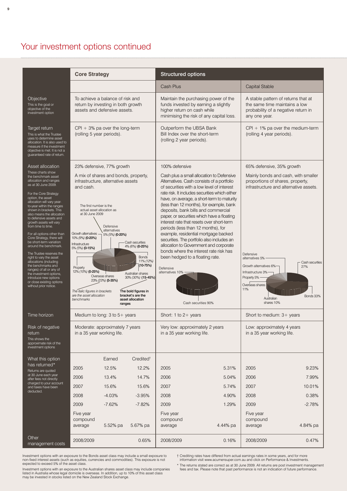## Your investment options continued

|                                                                                                                                                                                                                                                                                                       | <b>Core Strategy</b>                                                                                                                             |                                      |                                                                                                                                 | Structured options                       |                                                                                                                                                                                                                                                                                                                                            |                                                                                                                              |                      |
|-------------------------------------------------------------------------------------------------------------------------------------------------------------------------------------------------------------------------------------------------------------------------------------------------------|--------------------------------------------------------------------------------------------------------------------------------------------------|--------------------------------------|---------------------------------------------------------------------------------------------------------------------------------|------------------------------------------|--------------------------------------------------------------------------------------------------------------------------------------------------------------------------------------------------------------------------------------------------------------------------------------------------------------------------------------------|------------------------------------------------------------------------------------------------------------------------------|----------------------|
|                                                                                                                                                                                                                                                                                                       |                                                                                                                                                  |                                      |                                                                                                                                 | Cash Plus                                |                                                                                                                                                                                                                                                                                                                                            | Capital Stable                                                                                                               |                      |
| Objective<br>This is the goal or<br>objective of the<br>investment option                                                                                                                                                                                                                             | To achieve a balance of risk and<br>return by investing in both growth<br>assets and defensive assets.                                           |                                      |                                                                                                                                 | higher return on cash while              | Maintain the purchasing power of the<br>funds invested by earning a slightly<br>minimising the risk of any capital loss.                                                                                                                                                                                                                   | A stable pattern of returns that at<br>the same time maintains a low<br>probability of a negative return in<br>any one year. |                      |
| Target return<br>This is what the Trustee<br>uses to determine asset<br>allocation. It is also used to<br>measure if the investment<br>objective is met. It is not a<br>guaranteed rate of return.                                                                                                    | $CPI + 3%$ pa over the long-term<br>(rolling 5 year periods).                                                                                    |                                      |                                                                                                                                 | (rolling 2 year periods).                | Outperform the UBSA Bank<br>Bill Index over the short-term                                                                                                                                                                                                                                                                                 | $CPI + 1\%$ pa over the medium-term<br>(rolling 4 year periods).                                                             |                      |
| Asset allocation                                                                                                                                                                                                                                                                                      | 23% defensive, 77% growth                                                                                                                        |                                      |                                                                                                                                 | 100% defensive                           |                                                                                                                                                                                                                                                                                                                                            | 65% defensive, 35% growth                                                                                                    |                      |
| These charts show<br>the benchmark asset<br>allocation and ranges<br>as at 30 June 2009.<br>For the Core Strategy<br>option, the asset<br>allocation will vary year-<br>to-year within the ranges<br>shown in brackets. This                                                                          | A mix of shares and bonds, property,<br>infrastructure, alternative assets<br>and cash.<br>The first number is the<br>actual asset allocation as |                                      |                                                                                                                                 |                                          | Cash plus a small allocation to Defensive<br>Alternatives. Cash consists of a portfolio<br>of securities with a low level of interest<br>rate risk. It includes securities which either<br>have, on average, a short-term to maturity<br>(less than 12 months), for example, bank<br>deposits, bank bills and commercial                   | Mainly bonds and cash, with smaller<br>proportions of shares, property,<br>infrastructure and alternative assets.            |                      |
| also means the allocation<br>to defensive assets and<br>growth assets will vary<br>from time to time.<br>For all options other than<br>Core Strategy, there will<br>be short-term variation<br>around the benchmark.<br>The Trustee reserves the<br>right to vary the asset<br>allocations (including | at 30 June 2009<br>Growth alternatives $-$ 5% (5%) (0-20%)<br>10% (9%) (0-20%)<br>nfrastructure<br>5% (5%) (0-15%)                               | Defensive<br>alternatives            | - Cash securities<br>4% (6%) (0-25%)<br><b>Bonds</b><br>11% (12%)                                                               |                                          | paper, or securities which have a floating<br>interest rate that resets over short-term<br>periods (less than 12 months), for<br>example, residential mortgage backed<br>securities. The portfolio also includes an<br>allocation to Government and corporate<br>bonds where the interest rate risk has<br>been hedged to a floating rate. | Defensive<br>alternatives 5%                                                                                                 | - Cash securities    |
| the benchmarks and<br>ranges) of all or any of<br>the investment options,<br>introduce new options<br>or close existing options<br>without prior notice.                                                                                                                                              | Property<br>12% (10%) (0-25%)<br>The italic figures in brackets<br>are the asset allocation<br>benchmarks                                        | Overseas shares<br>23% (23%) (5-35%) | $(10-75%)$<br>Australian shares<br>30% (30%) (15-45%)<br>The bold figures in<br>bracket's are the<br>asset allocation<br>ranges | Defensive<br>alternatives 10%            | Cash securities 90%                                                                                                                                                                                                                                                                                                                        | Growth alternatives 6%<br>Infrastructure 3%<br>Property 5% -<br>Overseas shares<br>11%<br>Australian<br>shares 10%           | 27%<br>Bonds 33%     |
| Time horizon                                                                                                                                                                                                                                                                                          | Medium to long: $3$ to $5+$ years                                                                                                                |                                      |                                                                                                                                 | Short: 1 to $2+$ years                   |                                                                                                                                                                                                                                                                                                                                            | Short to medium: 3+ years                                                                                                    |                      |
| Risk of negative<br>return<br>This shows the<br>approximate risk of the<br>investment options                                                                                                                                                                                                         | Moderate: approximately 7 years<br>in a 35 year working life.                                                                                    |                                      |                                                                                                                                 | in a 35 year working life.               | Very low: approximately 2 years                                                                                                                                                                                                                                                                                                            | Low: approximately 4 years<br>in a 35 year working life.                                                                     |                      |
| What this option                                                                                                                                                                                                                                                                                      |                                                                                                                                                  | Earned                               | Credited <sup>t</sup>                                                                                                           |                                          |                                                                                                                                                                                                                                                                                                                                            |                                                                                                                              |                      |
| has returned*<br>Returns are quoted                                                                                                                                                                                                                                                                   | 2005                                                                                                                                             | 12.5%                                | 12.2%                                                                                                                           | 2005                                     | 5.31%                                                                                                                                                                                                                                                                                                                                      | 2005                                                                                                                         | 9.23%                |
| at 30 June each year<br>after fees not directly<br>charged to your account                                                                                                                                                                                                                            | 2006                                                                                                                                             | 13.4%                                | 14.7%                                                                                                                           | 2006                                     | 5.04%                                                                                                                                                                                                                                                                                                                                      | 2006                                                                                                                         | 7.99%                |
| and taxes have been<br>deducted.                                                                                                                                                                                                                                                                      | 2007                                                                                                                                             | 15.6%                                | 15.6%                                                                                                                           | 2007                                     | 5.74%                                                                                                                                                                                                                                                                                                                                      | 2007                                                                                                                         | 10.01%               |
|                                                                                                                                                                                                                                                                                                       | 2008                                                                                                                                             | $-4.03%$                             | $-3.95%$                                                                                                                        | 2008                                     | 4.90%                                                                                                                                                                                                                                                                                                                                      | 2008                                                                                                                         | 0.38%                |
|                                                                                                                                                                                                                                                                                                       | 2009<br>Five year<br>compound<br>average                                                                                                         | $-7.62%$<br>5.52% pa                 | $-7.82%$<br>5.67% pa                                                                                                            | 2009<br>Five year<br>compound<br>average | 1.29%<br>4.44% pa                                                                                                                                                                                                                                                                                                                          | 2009<br>Five year<br>compound<br>average                                                                                     | $-2.78%$<br>4.84% pa |
| Other<br>management costs                                                                                                                                                                                                                                                                             | 2008/2009                                                                                                                                        |                                      | 0.65%                                                                                                                           | 2008/2009                                | 0.16%                                                                                                                                                                                                                                                                                                                                      | 2008/2009                                                                                                                    | 0.47%                |

Investment options with an exposure to the Bonds asset class may include a small exposure to<br>non-fixed interest assets (such as equities, currencies and commodities). This exposure is not<br>expected to exceed 5% of the asset

† Crediting rates have differed from actual earnings rates in some years, and for more information visit www.acumensuper.com.au and click on Performance & Investments.

Investment options with an exposure to the Australian shares asset class may include companies<br>listed in Australia whose legal domicile is overseas. In addition, up to 10% of this asset class<br>may be invested in stocks list

\* The returns stated are correct as at 30 June 2009. All returns are post investment management fees and tax. Please note that past performance is not an indication of future performance.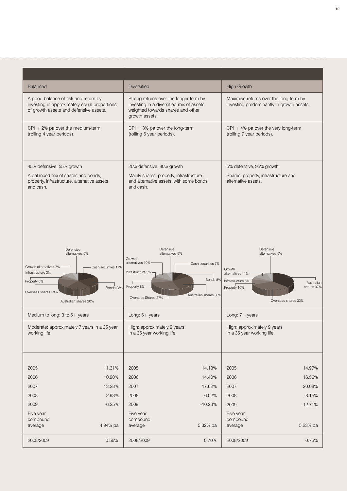| Balanced                                                                              |                                                                                             | Diversified                                                                                                                               |                                                           | <b>High Growth</b>                                                                  |                                                                    |
|---------------------------------------------------------------------------------------|---------------------------------------------------------------------------------------------|-------------------------------------------------------------------------------------------------------------------------------------------|-----------------------------------------------------------|-------------------------------------------------------------------------------------|--------------------------------------------------------------------|
| A good balance of risk and return by<br>of growth assets and defensive assets.        | investing in approximately equal proportions                                                | Strong returns over the longer term by<br>investing in a diversified mix of assets<br>weighted towards shares and other<br>growth assets. |                                                           | Maximise returns over the long-term by<br>investing predominantly in growth assets. |                                                                    |
| $CPI + 2\%$ pa over the medium-term<br>(rolling 4 year periods).                      |                                                                                             | $CPI + 3%$ pa over the long-term<br>(rolling 5 year periods).                                                                             |                                                           | $CPI + 4%$ pa over the very long-term<br>(rolling 7 year periods).                  |                                                                    |
| 45% defensive, 55% growth                                                             |                                                                                             | 20% defensive, 80% growth                                                                                                                 |                                                           | 5% defensive, 95% growth                                                            |                                                                    |
| A balanced mix of shares and bonds,<br>and cash.                                      | property, infrastructure, alternative assets                                                | Mainly shares, property, infrastructure<br>and alternative assets, with some bonds<br>and cash.                                           |                                                           | Shares, property, infrastructure and<br>alternative assets.                         |                                                                    |
| Growth alternatives 7% -<br>Infrastructure 3% -<br>Property 6%<br>Overseas shares 19% | Defensive<br>alternatives 5%<br>- Cash securities 17%<br>Bonds 23%<br>Australian shares 20% | Defensive<br>alternatives 5%<br>Growth<br>alternatives 10% -<br>Infrastructure 5% $\neg$<br>Property 8%<br>Overseas Shares 27%            | - Cash securities 7%<br>Bonds 8%<br>Australian shares 30% | Defensive<br>Growth<br>alternatives 11%<br>Infrastructure 5%<br>Property 10%        | alternatives 5%<br>Australian<br>shares 37%<br>Overseas shares 32% |
| Medium to long: $3$ to $5+$ years                                                     |                                                                                             | Long: $5+$ years                                                                                                                          |                                                           | Long: 7+ years                                                                      |                                                                    |
| working life.                                                                         | Moderate: approximately 7 years in a 35 year                                                | High: approximately 9 years<br>in a 35 year working life.                                                                                 |                                                           | High: approximately 9 years<br>in a 35 year working life.                           |                                                                    |
|                                                                                       |                                                                                             |                                                                                                                                           |                                                           |                                                                                     |                                                                    |
| 2005<br>2006                                                                          | 11.31%                                                                                      | 2005                                                                                                                                      | 14.13%                                                    | 2005                                                                                | 14.97%                                                             |
| 2007                                                                                  | 10.90%<br>13.28%                                                                            | 2006<br>2007                                                                                                                              | 14.40%<br>17.62%                                          | 2006<br>2007                                                                        | 16.56%<br>20.08%                                                   |
| 2008                                                                                  | $-2.93%$                                                                                    | 2008                                                                                                                                      | $-6.02%$                                                  | 2008                                                                                | $-8.15%$                                                           |
|                                                                                       | $-6.25%$                                                                                    | 2009                                                                                                                                      | $-10.23%$                                                 | 2009                                                                                | $-12.71%$                                                          |
| 2009<br>Five year                                                                     |                                                                                             | Five year                                                                                                                                 |                                                           | Five year                                                                           |                                                                    |
| compound<br>average                                                                   | 4.94% pa                                                                                    | compound<br>average                                                                                                                       | 5.32% pa                                                  | compound<br>average                                                                 | 5.23% pa                                                           |
| 2008/2009                                                                             | 0.56%                                                                                       | 2008/2009                                                                                                                                 | 0.70%                                                     | 2008/2009                                                                           | 0.76%                                                              |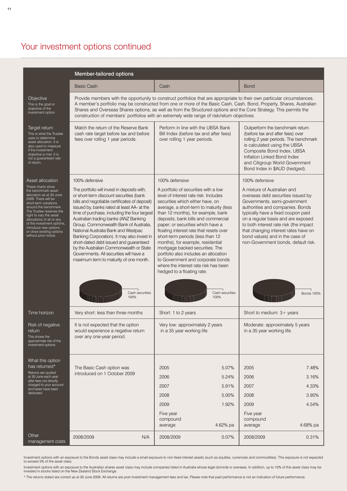## Your investment options continued

|                                                                                                                                                                                                                                                                                                                                                                    | Member-tailored options                                                                                                                                                                                                                                                                                                                                                                                                                                                                                                                                                                                                               |                                                                                                                                                                                                                                                                                                                                                                                                                                                                                                                                                                                                                                         |                                                                                                                                                                                                                                                                                                                                                                                                                      |
|--------------------------------------------------------------------------------------------------------------------------------------------------------------------------------------------------------------------------------------------------------------------------------------------------------------------------------------------------------------------|---------------------------------------------------------------------------------------------------------------------------------------------------------------------------------------------------------------------------------------------------------------------------------------------------------------------------------------------------------------------------------------------------------------------------------------------------------------------------------------------------------------------------------------------------------------------------------------------------------------------------------------|-----------------------------------------------------------------------------------------------------------------------------------------------------------------------------------------------------------------------------------------------------------------------------------------------------------------------------------------------------------------------------------------------------------------------------------------------------------------------------------------------------------------------------------------------------------------------------------------------------------------------------------------|----------------------------------------------------------------------------------------------------------------------------------------------------------------------------------------------------------------------------------------------------------------------------------------------------------------------------------------------------------------------------------------------------------------------|
|                                                                                                                                                                                                                                                                                                                                                                    | <b>Basic Cash</b>                                                                                                                                                                                                                                                                                                                                                                                                                                                                                                                                                                                                                     | Cash                                                                                                                                                                                                                                                                                                                                                                                                                                                                                                                                                                                                                                    | <b>Bond</b>                                                                                                                                                                                                                                                                                                                                                                                                          |
| Objective<br>This is the goal or<br>objective of the<br>investment option                                                                                                                                                                                                                                                                                          |                                                                                                                                                                                                                                                                                                                                                                                                                                                                                                                                                                                                                                       | Provide members with the opportunity to construct portfolios that are appropriate to their own particular circumstances.<br>A member's portfolio may be constructed from one or more of the Basic Cash, Cash, Bond, Property, Shares, Australian<br>Shares and Overseas Shares options, as well as from the Structured options and the Core Strategy. This permits the<br>construction of members' portfolios with an extremely wide range of risk/return objectives.                                                                                                                                                                   |                                                                                                                                                                                                                                                                                                                                                                                                                      |
| Target return<br>This is what the Trustee<br>uses to determine<br>asset allocation. It is<br>also used to measure<br>if the investment<br>objective is met. It is<br>not a guaranteed rate<br>of return.                                                                                                                                                           | Match the return of the Reserve Bank<br>cash rate target before tax and before<br>fees over rolling 1 year periods.                                                                                                                                                                                                                                                                                                                                                                                                                                                                                                                   | Perform in line with the UBSA Bank<br>Bill Index (before tax and after fees)<br>over rolling 1 year periods.                                                                                                                                                                                                                                                                                                                                                                                                                                                                                                                            | Outperform the benchmark return<br>(before tax and after fees) over<br>rolling 2 year periods. The benchmark<br>is calculated using the UBSA<br>Composite Bond Index, UBSA<br>Inflation Linked Bond Index<br>and Citigroup World Government<br>Bond Index in \$AUD (hedged).                                                                                                                                         |
| Asset allocation<br>These charts show<br>the benchmark asset<br>allocation as at 30 June<br>2009. There will be<br>short-term variations<br>around the benchmark.<br>The Trustee reserves the<br>right to vary the asset<br>allocations of all or any<br>of the investment options,<br>introduce new options<br>or close existing options<br>without prior notice. | 100% defensive<br>The portfolio will invest in deposits with,<br>or short-term discount securities (bank<br>bills and negotiable certificates of deposit)<br>issued by, banks rated at least AA- at the<br>time of purchase, including the four largest<br>Australian trading banks (ANZ Banking<br>Group, Commonwealth Bank of Australia,<br>National Australia Bank and Westpac<br>Banking Corporation). It may also invest in<br>short-dated debt issued and guaranteed<br>by the Australian Commonwealth or State<br>Governments. All securities will have a<br>maximum term to maturity of one month.<br>Cash securities<br>100% | 100% defensive<br>A portfolio of securities with a low<br>level of interest rate risk. Includes<br>securities which either have, on<br>average, a short-term to maturity (less<br>than 12 months), for example, bank<br>deposits, bank bills and commercial<br>paper; or securities which have a<br>floating interest rate that resets over<br>short-term periods (less than 12<br>months), for example, residential<br>mortgage backed securities. The<br>portfolio also includes an allocation<br>to Government and corporate bonds<br>where the interest rate risk has been<br>hedged to a floating rate.<br>Cash securities<br>100% | 100% defensive<br>A mixture of Australian and<br>overseas debt securities issued by<br>Governments, semi-government<br>authorities and companies. Bonds<br>typically have a fixed coupon paid<br>on a regular basis and are exposed<br>to both interest rate risk (the impact<br>that changing interest rates have on<br>bond values) and in the case of<br>non-Government bonds, default risk.<br><b>Bonds 100%</b> |
| Time horizon                                                                                                                                                                                                                                                                                                                                                       | Very short: less than three months                                                                                                                                                                                                                                                                                                                                                                                                                                                                                                                                                                                                    | Short: 1 to 2 years                                                                                                                                                                                                                                                                                                                                                                                                                                                                                                                                                                                                                     | Short to medium: 3+ years                                                                                                                                                                                                                                                                                                                                                                                            |
| Risk of negative<br>return<br>This shows the<br>approximate risk of the<br>investment options                                                                                                                                                                                                                                                                      | It is not expected that the option<br>would experience a negative return<br>over any one-year period.                                                                                                                                                                                                                                                                                                                                                                                                                                                                                                                                 | Very low: approximately 2 years<br>in a 35 year working life.                                                                                                                                                                                                                                                                                                                                                                                                                                                                                                                                                                           | Moderate: approximately 5 years<br>in a 35 year working life.                                                                                                                                                                                                                                                                                                                                                        |
| What this option<br>has returned*<br>Returns are quoted<br>at 30 June each year<br>after fees not directly                                                                                                                                                                                                                                                         | The Basic Cash option was<br>introduced on 1 October 2009                                                                                                                                                                                                                                                                                                                                                                                                                                                                                                                                                                             | 2005<br>5.07%<br>2006<br>5.24%                                                                                                                                                                                                                                                                                                                                                                                                                                                                                                                                                                                                          | 2005<br>7.48%<br>2006<br>3.16%                                                                                                                                                                                                                                                                                                                                                                                       |
| charged to your account<br>and taxes have been<br>deducted.                                                                                                                                                                                                                                                                                                        |                                                                                                                                                                                                                                                                                                                                                                                                                                                                                                                                                                                                                                       | 2007<br>5.91%                                                                                                                                                                                                                                                                                                                                                                                                                                                                                                                                                                                                                           | 2007<br>4.33%                                                                                                                                                                                                                                                                                                                                                                                                        |
|                                                                                                                                                                                                                                                                                                                                                                    |                                                                                                                                                                                                                                                                                                                                                                                                                                                                                                                                                                                                                                       | 2008<br>5.00%<br>1.92%<br>2009                                                                                                                                                                                                                                                                                                                                                                                                                                                                                                                                                                                                          | 2008<br>3.95%<br>2009<br>4.54%                                                                                                                                                                                                                                                                                                                                                                                       |
|                                                                                                                                                                                                                                                                                                                                                                    |                                                                                                                                                                                                                                                                                                                                                                                                                                                                                                                                                                                                                                       | Five year<br>compound<br>4.62% pa<br>average                                                                                                                                                                                                                                                                                                                                                                                                                                                                                                                                                                                            | Five year<br>compound<br>4.68% pa<br>average                                                                                                                                                                                                                                                                                                                                                                         |
| Other<br>management costs                                                                                                                                                                                                                                                                                                                                          | 2008/2009<br>N/A                                                                                                                                                                                                                                                                                                                                                                                                                                                                                                                                                                                                                      | 2008/2009<br>0.07%                                                                                                                                                                                                                                                                                                                                                                                                                                                                                                                                                                                                                      | 2008/2009<br>0.31%                                                                                                                                                                                                                                                                                                                                                                                                   |

Investment options with an exposure to the Bonds asset class may include a small exposure to non-fixed interest assets (such as equities, currencies and commodities). This exposure is not expected<br>to exceed 5% of the asset

Investment options with an exposure to the Australian shares asset class may include companies listed in Australia whose legal domicile is overseas. In addition, up to 10% of this asset class may be<br>invested in stocks list

\* The returns stated are correct as at 30 June 2009. All returns are post investment management fees and tax. Please note that past performance is not an indication of future performance.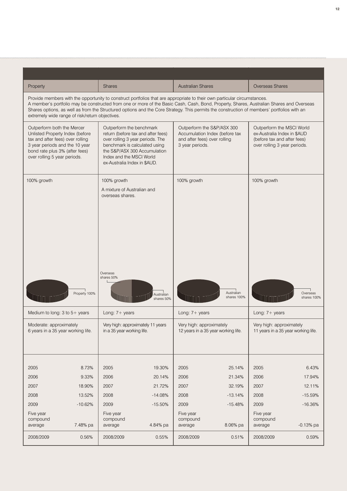| Property                                                                                                                                                                                              |               | Shares                                                                                                                                                                                                                                                                                                                                                                                                             | <b>Australian Shares</b>                                                                                        |                           | Overseas Shares                                                                                                         |                         |
|-------------------------------------------------------------------------------------------------------------------------------------------------------------------------------------------------------|---------------|--------------------------------------------------------------------------------------------------------------------------------------------------------------------------------------------------------------------------------------------------------------------------------------------------------------------------------------------------------------------------------------------------------------------|-----------------------------------------------------------------------------------------------------------------|---------------------------|-------------------------------------------------------------------------------------------------------------------------|-------------------------|
| extremely wide range of risk/return objectives.                                                                                                                                                       |               | Provide members with the opportunity to construct portfolios that are appropriate to their own particular circumstances.<br>A member's portfolio may be constructed from one or more of the Basic Cash, Cash, Bond, Property, Shares, Australian Shares and Overseas<br>Shares options, as well as from the Structured options and the Core Strategy. This permits the construction of members' portfolios with an |                                                                                                                 |                           |                                                                                                                         |                         |
| Outperform both the Mercer<br>Unlisted Property Index (before<br>tax and after fees) over rolling<br>3 year periods and the 10 year<br>bond rate plus 3% (after fees)<br>over rolling 5 year periods. |               | Outperform the benchmark<br>return (before tax and after fees)<br>over rolling 3 year periods. The<br>benchmark is calculated using<br>the S&P/ASX 300 Accumulation<br>Index and the MSCI World<br>ex-Australia Index in \$AUD.                                                                                                                                                                                    | Outperform the S&P/ASX 300<br>Accumulation Index (before tax<br>and after fees) over rolling<br>3 year periods. |                           | Outperform the MSCI World<br>ex-Australia Index in \$AUD<br>(before tax and after fees)<br>over rolling 3 year periods. |                         |
| 100% growth                                                                                                                                                                                           |               | 100% growth<br>A mixture of Australian and<br>overseas shares.                                                                                                                                                                                                                                                                                                                                                     | 100% growth                                                                                                     |                           | 100% growth                                                                                                             |                         |
|                                                                                                                                                                                                       |               |                                                                                                                                                                                                                                                                                                                                                                                                                    |                                                                                                                 |                           |                                                                                                                         |                         |
|                                                                                                                                                                                                       | Property 100% | Overseas<br>shares 50%<br>Australian<br>shares 50%                                                                                                                                                                                                                                                                                                                                                                 |                                                                                                                 | Australian<br>shares 100% |                                                                                                                         | Overseas<br>shares 100% |
|                                                                                                                                                                                                       |               | Long: $7 + \text{years}$<br>Very high: approximately 11 years<br>in a 35 year working life.                                                                                                                                                                                                                                                                                                                        | Long: 7+ years<br>Very high: approximately<br>12 years in a 35 year working life.                               |                           | Long: 7+ years<br>Very high: approximately<br>11 years in a 35 year working life.                                       |                         |
| Medium to long: $3$ to $5+$ years<br>Moderate: approximately<br>6 years in a 35 year working life.<br>2005                                                                                            | 8.73%         | 19.30%<br>2005                                                                                                                                                                                                                                                                                                                                                                                                     | 2005                                                                                                            | 25.14%                    | 2005                                                                                                                    | 6.43%                   |
|                                                                                                                                                                                                       | 9.33%         | 2006<br>20.14%                                                                                                                                                                                                                                                                                                                                                                                                     | 2006                                                                                                            | 21.34%                    | 2006                                                                                                                    | 17.94%                  |
|                                                                                                                                                                                                       | 18.90%        | 21.72%<br>2007                                                                                                                                                                                                                                                                                                                                                                                                     | 2007                                                                                                            | 32.19%                    | 2007                                                                                                                    | 12.11%                  |
|                                                                                                                                                                                                       | 13.52%        | $-14.08%$<br>2008                                                                                                                                                                                                                                                                                                                                                                                                  | 2008                                                                                                            | $-13.14%$                 | 2008                                                                                                                    | $-15.59%$               |
|                                                                                                                                                                                                       | $-10.62%$     | 2009<br>$-15.50%$                                                                                                                                                                                                                                                                                                                                                                                                  | 2009                                                                                                            | $-15.48%$                 | 2009                                                                                                                    | $-16.36%$               |
| 2006<br>2007<br>2008<br>2009<br>Five year<br>compound<br>average                                                                                                                                      | 7.48% pa      | Five year<br>compound<br>4.84% pa<br>average                                                                                                                                                                                                                                                                                                                                                                       | Five year<br>compound<br>average                                                                                | 8.06% pa                  | Five year<br>compound<br>average                                                                                        | $-0.13%$ pa             |
| 2008/2009                                                                                                                                                                                             | 0.56%         | 0.55%<br>2008/2009                                                                                                                                                                                                                                                                                                                                                                                                 | 2008/2009                                                                                                       | 0.51%                     | 2008/2009                                                                                                               | 0.59%                   |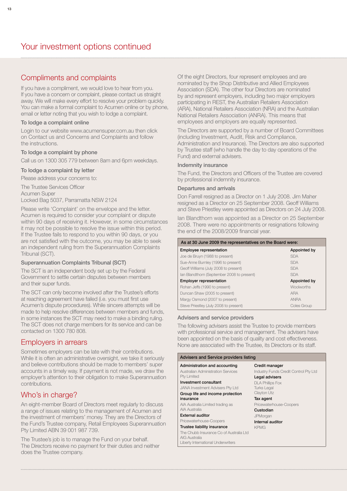## Compliments and complaints

If you have a compliment, we would love to hear from you. If you have a concern or complaint, please contact us straight away. We will make every effort to resolve your problem quickly. You can make a formal complaint to Acumen online or by phone, email or letter noting that you wish to lodge a complaint.

#### To lodge a complaint online

Login to our website www.acumensuper.com.au then click on Contact us and Concerns and Complaints and follow the instructions.

#### To lodge a complaint by phone

Call us on 1300 305 779 between 8am and 6pm weekdays.

#### To lodge a complaint by letter

Please address your concerns to:

The Trustee Services Officer Acumen Super Locked Bag 5037, Parramatta NSW 2124

Please write 'Complaint' on the envelope and the letter. Acumen is required to consider your complaint or dispute within 90 days of receiving it. However, in some circumstances it may not be possible to resolve the issue within this period. If the Trustee fails to respond to you within 90 days, or you are not satisfied with the outcome, you may be able to seek an independent ruling from the Superannuation Complaints Tribunal (SCT).

#### Superannuation Complaints Tribunal (SCT)

The SCT is an independent body set up by the Federal Government to settle certain disputes between members and their super funds.

The SCT can only become involved after the Trustee's efforts at reaching agreement have failed (i.e. you must first use Acumen's dispute procedures). While sincere attempts will be made to help resolve differences between members and funds, in some instances the SCT may need to make a binding ruling. The SCT does not charge members for its service and can be contacted on 1300 780 808.

#### Employers in arrears

Sometimes employers can be late with their contributions. While it is often an administrative oversight, we take it seriously and believe contributions should be made to members' super accounts in a timely way. If payment is not made, we draw the employer's attention to their obligation to make Superannuation contributions.

## Who's in charge?

An eight-member Board of Directors meet regularly to discuss a range of issues relating to the management of Acumen and the investment of members' money. They are the Directors of the Fund's Trustee company, Retail Employees Superannuation Pty Limited ABN 39 001 987 739.

The Trustee's job is to manage the Fund on your behalf. The Directors receive no payment for their duties and neither does the Trustee company.

Of the eight Directors, four represent employees and are nominated by the Shop Distributive and Allied Employees Association (SDA). The other four Directors are nominated by and represent employers, including two major employers participating in REST, the Australian Retailers Association (ARA), National Retailers Association (NRA) and the Australian National Retailers Association (ANRA). This means that employees and employers are equally represented.

The Directors are supported by a number of Board Committees (including Investment, Audit, Risk and Compliance, Administration and Insurance). The Directors are also supported by Trustee staff (who handle the day to day operations of the Fund) and external advisers.

#### Indemnity insurance

The Fund, the Directors and Officers of the Trustee are covered by professional indemnity insurance.

#### Departures and arrivals

Don Farrell resigned as a Director on 1 July 2008. Jim Maher resigned as a Director on 25 September 2008. Geoff Williams and Steve Priestley were appointed as Directors on 24 July 2008.

Ian Blandthorn was appointed as a Director on 25 September 2008. There were no appointments or resignations following the end of the 2008/2009 financial year.

| As at 30 June 2009 the representatives on the Board were: |                   |  |  |  |  |
|-----------------------------------------------------------|-------------------|--|--|--|--|
| Employee representation                                   | Appointed by      |  |  |  |  |
| Joe de Bruyn (1988 to present)                            | <b>SDA</b>        |  |  |  |  |
| Sue-Anne Burnley (1996 to present)                        | <b>SDA</b>        |  |  |  |  |
| Geoff Williams (July 2008 to present)                     | <b>SDA</b>        |  |  |  |  |
| Ian Blandthorn (September 2008 to present)                | <b>SDA</b>        |  |  |  |  |
| <b>Employer representation</b>                            | Appointed by      |  |  |  |  |
| Rohan Jeffs (1990 to present)                             | <b>Woolworths</b> |  |  |  |  |
| Duncan Shaw (2005 to present)                             | <b>ARA</b>        |  |  |  |  |
| Margy Osmond (2007 to present)                            | <b>ANRA</b>       |  |  |  |  |
| Steve Priestley (July 2008 to present)                    | Coles Group       |  |  |  |  |

#### Advisers and service providers

The following advisers assist the Trustee to provide members with professional service and management. The advisers have been appointed on the basis of quality and cost effectiveness. None are associated with the Trustee, its Directors or its staff.

ntrol Pty Ltd

#### Advisers and Service providers listing

| Administration and accounting<br><b>Australian Administration Services</b><br><b>Pty Limited</b> | Credit manager<br><b>Industry Funds Credit Cor</b><br>Legal advisers |
|--------------------------------------------------------------------------------------------------|----------------------------------------------------------------------|
| Investment consultant                                                                            |                                                                      |
| JANA Investment Advisers Pty Ltd<br>Group life and income protection                             | <b>DLA Phillips Fox</b><br><b>Turks Legal</b><br>Clayton Utz         |
| insurance                                                                                        | Tax agent                                                            |
| AIA Australia Limited trading as                                                                 | Pricewaterhouse-Coopers                                              |
| AIA Australia                                                                                    | Custodian                                                            |
| <b>External auditor</b>                                                                          | JPMorgan                                                             |
| Pricewaterhouse-Coopers                                                                          | Internal auditor                                                     |
| Trustee liability insurance                                                                      | <b>KPMG</b>                                                          |
| The Chubb Insurance Co of Australia Ltd<br>AIG Australia<br>Liberty International Underwriters   |                                                                      |
|                                                                                                  |                                                                      |
|                                                                                                  |                                                                      |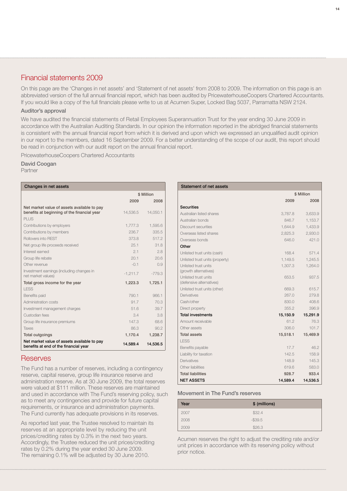## Financial statements 2009

On this page are the 'Changes in net assets' and 'Statement of net assets' from 2008 to 2009. The information on this page is an abbreviated version of the full annual financial report, which has been audited by PricewaterhouseCoopers Chartered Accountants. If you would like a copy of the full financials please write to us at Acumen Super, Locked Bag 5037, Parramatta NSW 2124.

#### Auditor's approval

We have audited the financial statements of Retail Employees Superannuation Trust for the year ending 30 June 2009 in accordance with the Australian Auditing Standards. In our opinion the information reported in the abridged financial statements is consistent with the annual financial report from which it is derived and upon which we expressed an unqualified audit opinion in our report to the members, dated 16 September 2009. For a better understanding of the scope of our audit, this report should be read in conjunction with our audit report on the annual financial report.

PricewaterhouseCoopers Chartered Accountants

#### David Coogan

Partner

| Changes in net assets                                                                      |            |          |  |  |
|--------------------------------------------------------------------------------------------|------------|----------|--|--|
|                                                                                            | \$ Million |          |  |  |
|                                                                                            | 2009       | 2008     |  |  |
| Net market value of assets available to pay<br>benefits at beginning of the financial year | 14.536.5   | 14,050.1 |  |  |
| PLUS                                                                                       |            |          |  |  |
| Contributions by employers                                                                 | 1,777.3    | 1,595.6  |  |  |
| Contributions by members                                                                   | 236.7      | 335.5    |  |  |
| <b>Rollovers into REST</b>                                                                 | 3738       | 5172     |  |  |
| Net group life proceeds received                                                           | 25.1       | 31.8     |  |  |
| Interest earned                                                                            | 2.1        | 2.8      |  |  |
| Group life rebate                                                                          | 201        | 206      |  |  |
| Other revenue                                                                              | $-01$      | 0.9      |  |  |
| Investment earnings (including changes in<br>net market values)                            | $-1.211.7$ | $-779.3$ |  |  |
| Total gross income for the year                                                            | 1,223.3    | 1,725.1  |  |  |
| LESS                                                                                       |            |          |  |  |
| Benefits paid                                                                              | 790.1      | 966.1    |  |  |
| Administration costs                                                                       | 91.7       | 70.3     |  |  |
| Investment management charges                                                              | 51.6       | 39.7     |  |  |
| Custodian fees                                                                             | 3.4        | 3.8      |  |  |
| Group life insurance premiums                                                              | 147.3      | 68.6     |  |  |
| Taxes                                                                                      | 86.3       | 90.2     |  |  |
| <b>Total outgoings</b>                                                                     | 1,170.4    | 1,238.7  |  |  |
| Net market value of assets available to pay<br>benefits at end of the financial year       | 14,589.4   | 14,536.5 |  |  |

#### **Reserves**

The Fund has a number of reserves, including a contingency reserve, capital reserve, group life insurance reserve and administration reserve. As at 30 June 2009, the total reserves were valued at \$111 million. These reserves are maintained and used in accordance with The Fund's reserving policy, such as to meet any contingencies and provide for future capital requirements, or insurance and administration payments. The Fund currently has adequate provisions in its reserves.

As reported last year, the Trustee resolved to maintain its reserves at an appropriate level by reducing the unit prices/crediting rates by 0.3% in the next two years. Accordingly, the Trustee reduced the unit prices/crediting rates by 0.2% during the year ended 30 June 2009. The remaining 0.1% will be adjusted by 30 June 2010.

| Statement of net assets                                 |          |            |  |  |
|---------------------------------------------------------|----------|------------|--|--|
|                                                         |          | \$ Million |  |  |
|                                                         | 2009     | 2008       |  |  |
| <b>Securities</b>                                       |          |            |  |  |
| Australian listed shares                                | 3,787.8  | 3,633.9    |  |  |
| Australian bonds                                        | 846.7    | 1,153.7    |  |  |
| Discount securities                                     | 1.644.9  | 1,433.9    |  |  |
| Overseas listed shares                                  | 2,825.3  | 2,930.0    |  |  |
| Overseas bonds                                          | 646.0    | 421.0      |  |  |
| Other                                                   |          |            |  |  |
| Unlisted trust units (cash)                             | 168.4    | 571.4      |  |  |
| Unlisted trust units (property)                         | 1.149.5  | 1.245.5    |  |  |
| Unlisted trust units<br>(growth alternatives)           | 1,307.3  | 1,264.0    |  |  |
| <b>Unlisted trust units</b><br>(defensive alternatives) | 653.5    | 937.5      |  |  |
| Unlisted trust units (other)                            | 669.3    | 615.7      |  |  |
| Derivatives                                             | 267.0    | 279.8      |  |  |
| Cash/other                                              | 830.0    | 408.6      |  |  |
| Direct property                                         | 355.2    | 396.9      |  |  |
| <b>Total investments</b>                                | 15,150.9 | 15,291.9   |  |  |
| Amount receivable                                       | 61.2     | 76.3       |  |  |
| Other assets                                            | 306.0    | 101.7      |  |  |
| <b>Total assets</b>                                     | 15,518.1 | 15,469.9   |  |  |
| <b>LESS</b>                                             |          |            |  |  |
| Benefits payable                                        | 17.7     | 46.2       |  |  |
| Liability for taxation                                  | 142.5    | 158.9      |  |  |
| <b>Derivatives</b>                                      | 148.9    | 145.3      |  |  |
| Other liabilities                                       | 619.6    | 583.0      |  |  |
| <b>Total liabilities</b>                                | 928.7    | 933.4      |  |  |
| <b>NET ASSETS</b>                                       | 14,589.4 | 14,536.5   |  |  |

#### Movement in The Fund's reserves

| Year | \$ (millions) |
|------|---------------|
| 2007 | \$32.4        |
| 2008 | $-$ \$39.5    |
| 2009 | \$26.3        |

Acumen reserves the right to adjust the crediting rate and/or unit prices in accordance with its reserving policy without prior notice.